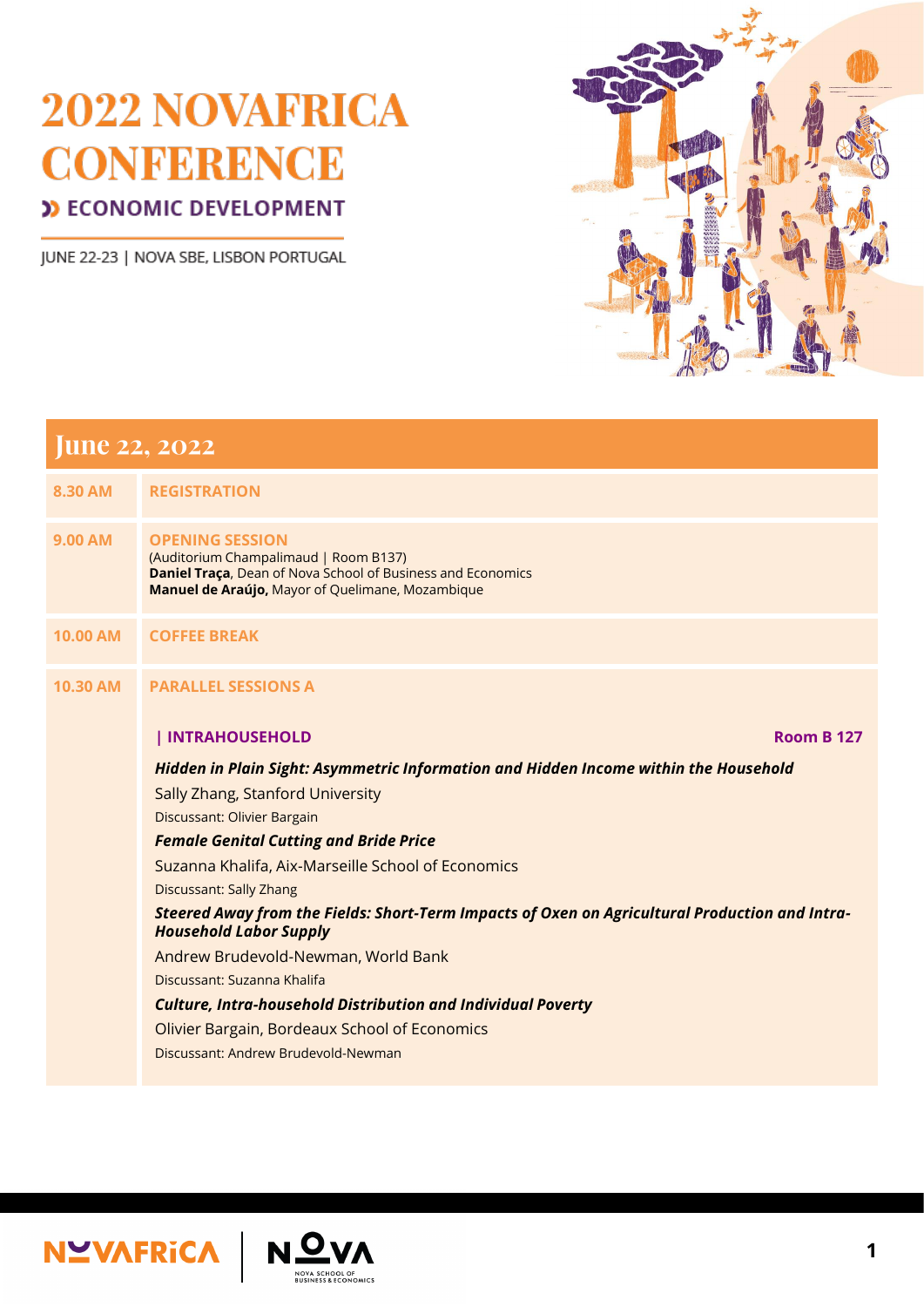JUNE 22-23 | NOVA SBE, LISBON PORTUGAL



| 8.30 AM         | <b>REGISTRATION</b>                                                                                                                                                                       |
|-----------------|-------------------------------------------------------------------------------------------------------------------------------------------------------------------------------------------|
| <b>9.00 AM</b>  | <b>OPENING SESSION</b><br>(Auditorium Champalimaud   Room B137)<br><b>Daniel Traça, Dean of Nova School of Business and Economics</b><br>Manuel de Araújo, Mayor of Quelimane, Mozambique |
| <b>10.00 AM</b> | <b>COFFEE BREAK</b>                                                                                                                                                                       |
| <b>10.30 AM</b> | <b>PARALLEL SESSIONS A</b>                                                                                                                                                                |
|                 | INTRAHOUSEHOLD<br><b>Room B 127</b>                                                                                                                                                       |
|                 | Hidden in Plain Sight: Asymmetric Information and Hidden Income within the Household                                                                                                      |
|                 | Sally Zhang, Stanford University                                                                                                                                                          |
|                 | Discussant: Olivier Bargain                                                                                                                                                               |
|                 | <b>Female Genital Cutting and Bride Price</b>                                                                                                                                             |
|                 | Suzanna Khalifa, Aix-Marseille School of Economics                                                                                                                                        |
|                 | <b>Discussant: Sally Zhang</b>                                                                                                                                                            |
|                 | Steered Away from the Fields: Short-Term Impacts of Oxen on Agricultural Production and Intra-<br><b>Household Labor Supply</b>                                                           |
|                 | Andrew Brudevold-Newman, World Bank                                                                                                                                                       |
|                 | Discussant: Suzanna Khalifa                                                                                                                                                               |

#### *Culture, Intra-household Distribution and Individual Poverty*

Olivier Bargain, Bordeaux School of Economics

Discussant: Andrew Brudevold-Newman



NOVA SCHOOL OF<br>BUSINESS & ECONOMICS

**1**

## **June 22, 2022**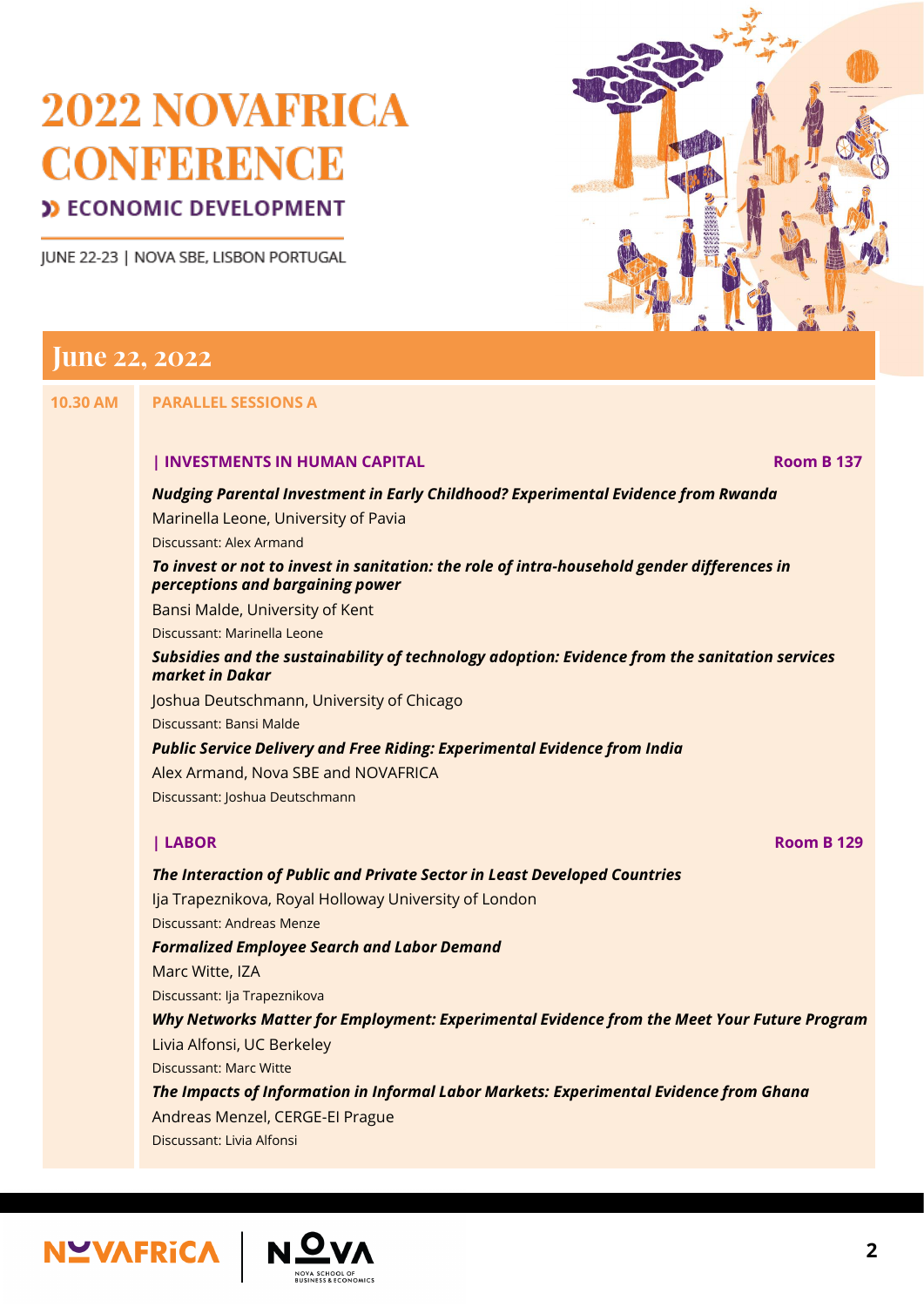JUNE 22-23 | NOVA SBE, LISBON PORTUGAL



## **June 22, 2022**

#### **10.30 AM PARALLEL SESSIONS A**

#### **| INVESTMENTS IN HUMAN CAPITAL Room B 137**

#### *Nudging Parental Investment in Early Childhood? Experimental Evidence from Rwanda*

Marinella Leone, University of Pavia

Discussant: Alex Armand

#### *To invest or not to invest in sanitation: the role of intra-household gender differences in perceptions and bargaining power*

Bansi Malde, University of Kent

Discussant: Marinella Leone

*Subsidies and the sustainability of technology adoption: Evidence from the sanitation services market in Dakar*

Joshua Deutschmann, University of Chicago

Discussant: Bansi Malde

*Public Service Delivery and Free Riding: Experimental Evidence from India*

Alex Armand, Nova SBE and NOVAFRICA

Discussant: Joshua Deutschmann

**| LABOR Room B 129**

#### *The Interaction of Public and Private Sector in Least Developed Countries*

Ija Trapeznikova, Royal Holloway University of London Discussant: Andreas Menze *Formalized Employee Search and Labor Demand* Marc Witte, IZA

Discussant: Ija Trapeznikova

*Why Networks Matter for Employment: Experimental Evidence from the Meet Your Future Program* Livia Alfonsi, UC Berkeley

Discussant: Marc Witte

*The Impacts of Information in Informal Labor Markets: Experimental Evidence from Ghana* Andreas Menzel, CERGE-EI Prague Discussant: Livia Alfonsi

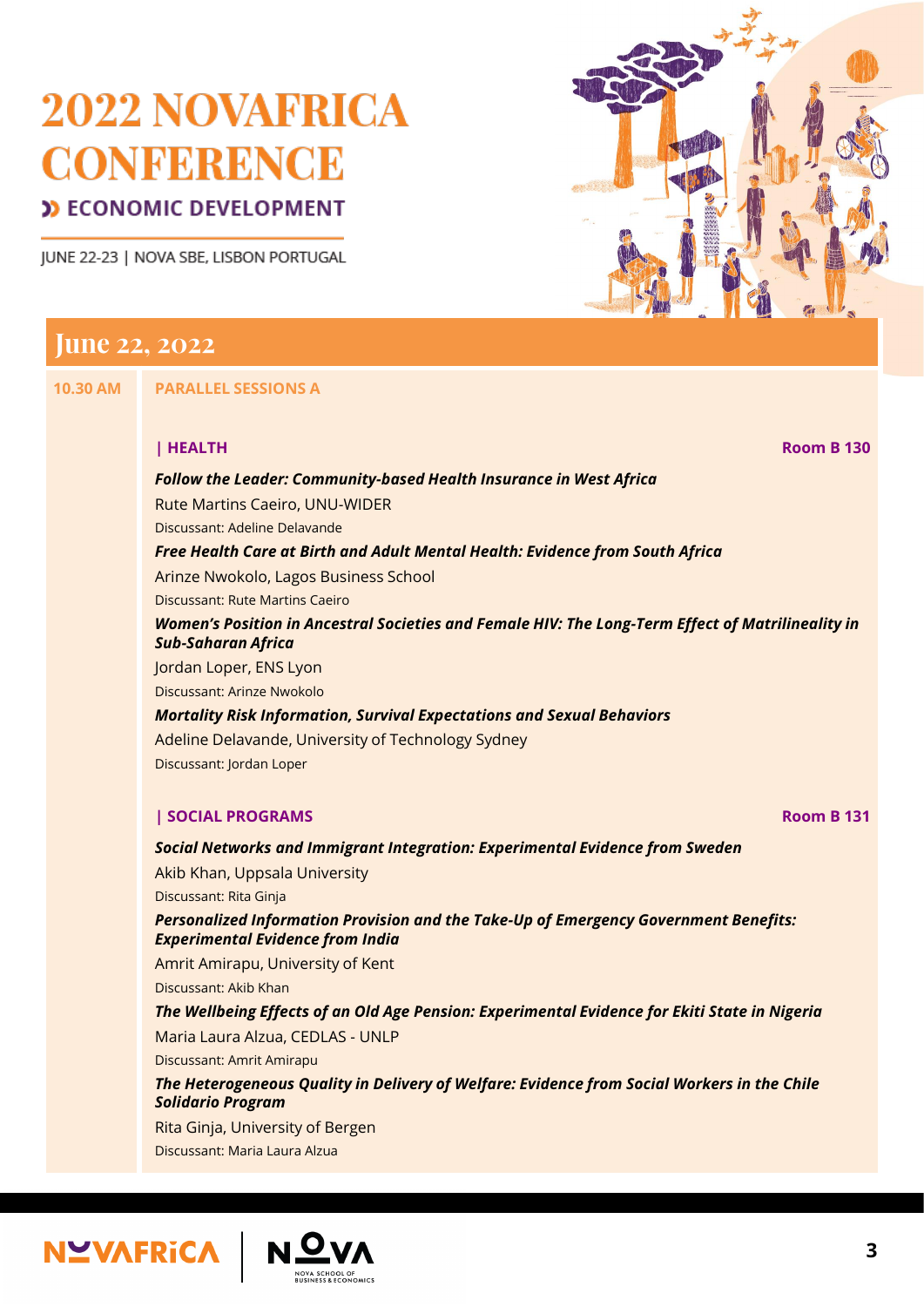JUNE 22-23 | NOVA SBE, LISBON PORTUGAL



## **June 22, 2022**

**10.30 AM PARALLEL SESSIONS A**

**| HEALTH Room B 130**

#### *Follow the Leader: Community-based Health Insurance in West Africa* Rute Martins Caeiro, UNU-WIDER Discussant: Adeline Delavande *Free Health Care at Birth and Adult Mental Health: Evidence from South Africa* Arinze Nwokolo, Lagos Business School Discussant: Rute Martins Caeiro *Women's Position in Ancestral Societies and Female HIV: The Long-Term Effect of Matrilineality in Sub-Saharan Africa* Jordan Loper, ENS Lyon Discussant: Arinze Nwokolo *Mortality Risk Information, Survival Expectations and Sexual Behaviors* Adeline Delavande, University of Technology Sydney Discussant: Jordan Loper

#### **| SOCIAL PROGRAMS Room B 131**

*Social Networks and Immigrant Integration: Experimental Evidence from Sweden*

Akib Khan, Uppsala University Discussant: Rita Ginja *Personalized Information Provision and the Take-Up of Emergency Government Benefits: Experimental Evidence from India*

Amrit Amirapu, University of Kent Discussant: Akib Khan

#### *The Wellbeing Effects of an Old Age Pension: Experimental Evidence for Ekiti State in Nigeria* Maria Laura Alzua, CEDLAS - UNLP

Discussant: Amrit Amirapu

#### *The Heterogeneous Quality in Delivery of Welfare: Evidence from Social Workers in the Chile Solidario Program*

Rita Ginja, University of Bergen

Discussant: Maria Laura Alzua

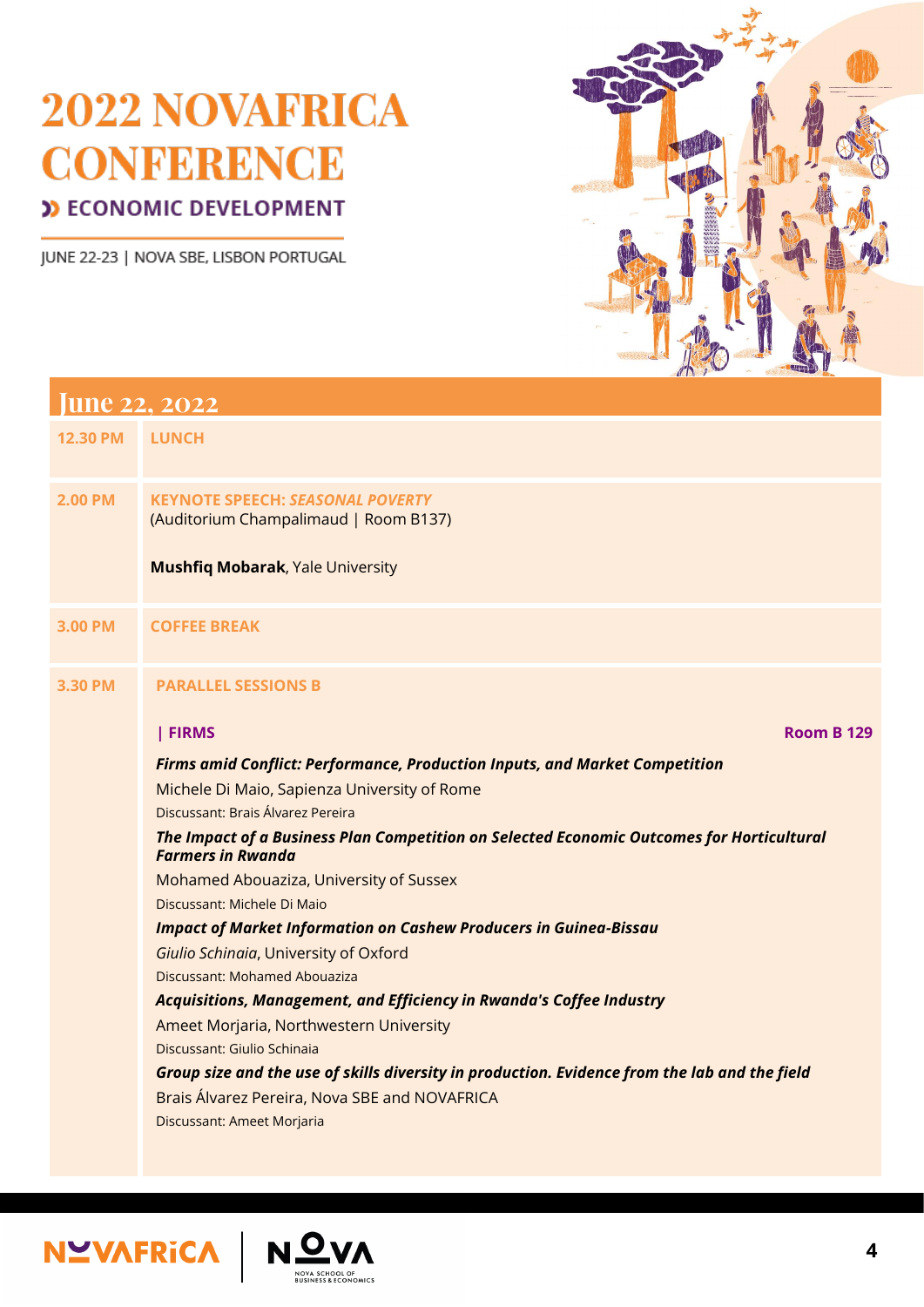JUNE 22-23 | NOVA SBE, LISBON PORTUGAL



| <b>June 22, 2022</b> |                                                                                                                       |  |
|----------------------|-----------------------------------------------------------------------------------------------------------------------|--|
| <b>12.30 PM</b>      | <b>LUNCH</b>                                                                                                          |  |
| <b>2.00 PM</b>       | <b>KEYNOTE SPEECH: SEASONAL POVERTY</b><br>(Auditorium Champalimaud   Room B137)                                      |  |
|                      | <b>Mushfiq Mobarak, Yale University</b>                                                                               |  |
| <b>3.00 PM</b>       | <b>COFFEE BREAK</b>                                                                                                   |  |
| <b>3.30 PM</b>       | <b>PARALLEL SESSIONS B</b>                                                                                            |  |
|                      | <b>FIRMS</b><br><b>Room B 129</b>                                                                                     |  |
|                      | <b>Firms amid Conflict: Performance, Production Inputs, and Market Competition</b>                                    |  |
|                      | Michele Di Maio, Sapienza University of Rome                                                                          |  |
|                      | Discussant: Brais Álvarez Pereira                                                                                     |  |
|                      | The Impact of a Business Plan Competition on Selected Economic Outcomes for Horticultural<br><b>Farmers in Rwanda</b> |  |
|                      | Mohamed Abouaziza, University of Sussex                                                                               |  |
|                      | Discussant: Michele Di Maio                                                                                           |  |
|                      | <b>Impact of Market Information on Cashew Producers in Guinea-Bissau</b>                                              |  |
|                      | <b>Giulio Schinaia, University of Oxford</b>                                                                          |  |
|                      | Discussant: Mohamed Abouaziza                                                                                         |  |

*Acquisitions, Management, and Efficiency in Rwanda's Coffee Industry*

Ameet Morjaria, Northwestern University

Discussant: Giulio Schinaia

## *Group size and the use of skills diversity in production. Evidence from the lab and the field*

Brais Álvarez Pereira, Nova SBE and NOVAFRICA

Discussant: Ameet Morjaria



**NOVA SCHOOL OF<br>BUSINESS & ECONOMICS**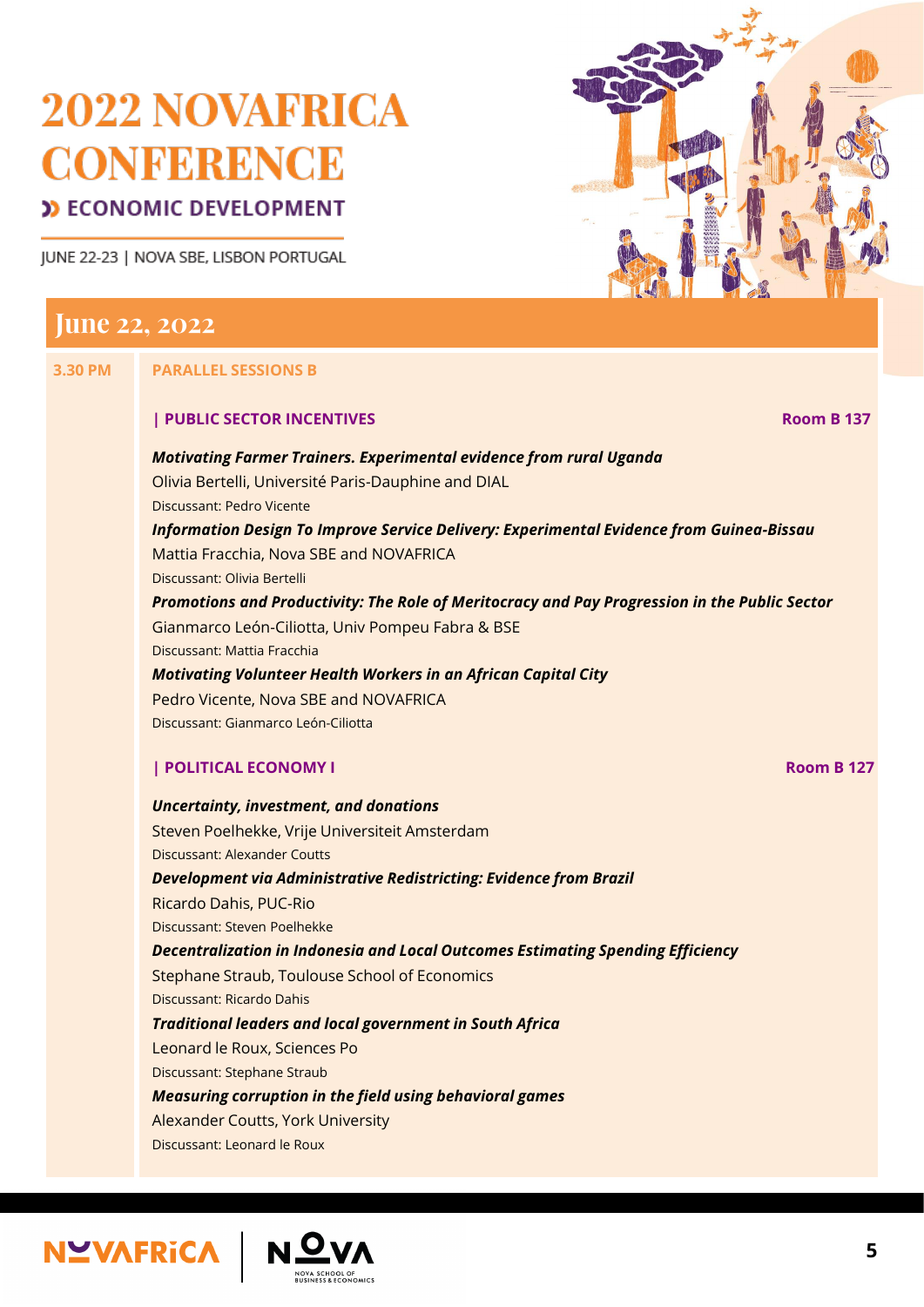JUNE 22-23 | NOVA SBE, LISBON PORTUGAL



## **June 22, 2022**

#### **3.30 PM PARALLEL SESSIONS B**

#### **| PUBLIC SECTOR INCENTIVES Room B 137**

*Motivating Farmer Trainers. Experimental evidence from rural Uganda* Olivia Bertelli, Université Paris-Dauphine and DIAL Discussant: Pedro Vicente *Information Design To Improve Service Delivery: Experimental Evidence from Guinea-Bissau* Mattia Fracchia, Nova SBE and NOVAFRICA Discussant: Olivia Bertelli *Promotions and Productivity: The Role of Meritocracy and Pay Progression in the Public Sector* Gianmarco León-Ciliotta, Univ Pompeu Fabra & BSE Discussant: Mattia Fracchia *Motivating Volunteer Health Workers in an African Capital City* Pedro Vicente, Nova SBE and NOVAFRICA Discussant: Gianmarco León-Ciliotta **| POLITICAL ECONOMY I Room B 127** *Uncertainty, investment, and donations* Steven Poelhekke, Vrije Universiteit Amsterdam Discussant: Alexander Coutts *Development via Administrative Redistricting: Evidence from Brazil*

Ricardo Dahis, PUC-Rio

Discussant: Steven Poelhekke

*Decentralization in Indonesia and Local Outcomes Estimating Spending Efficiency*

Stephane Straub, Toulouse School of Economics

Discussant: Ricardo Dahis

*Traditional leaders and local government in South Africa*

Leonard le Roux, Sciences Po

Discussant: Stephane Straub

*Measuring corruption in the field using behavioral games*

Alexander Coutts, York University

Discussant: Leonard le Roux

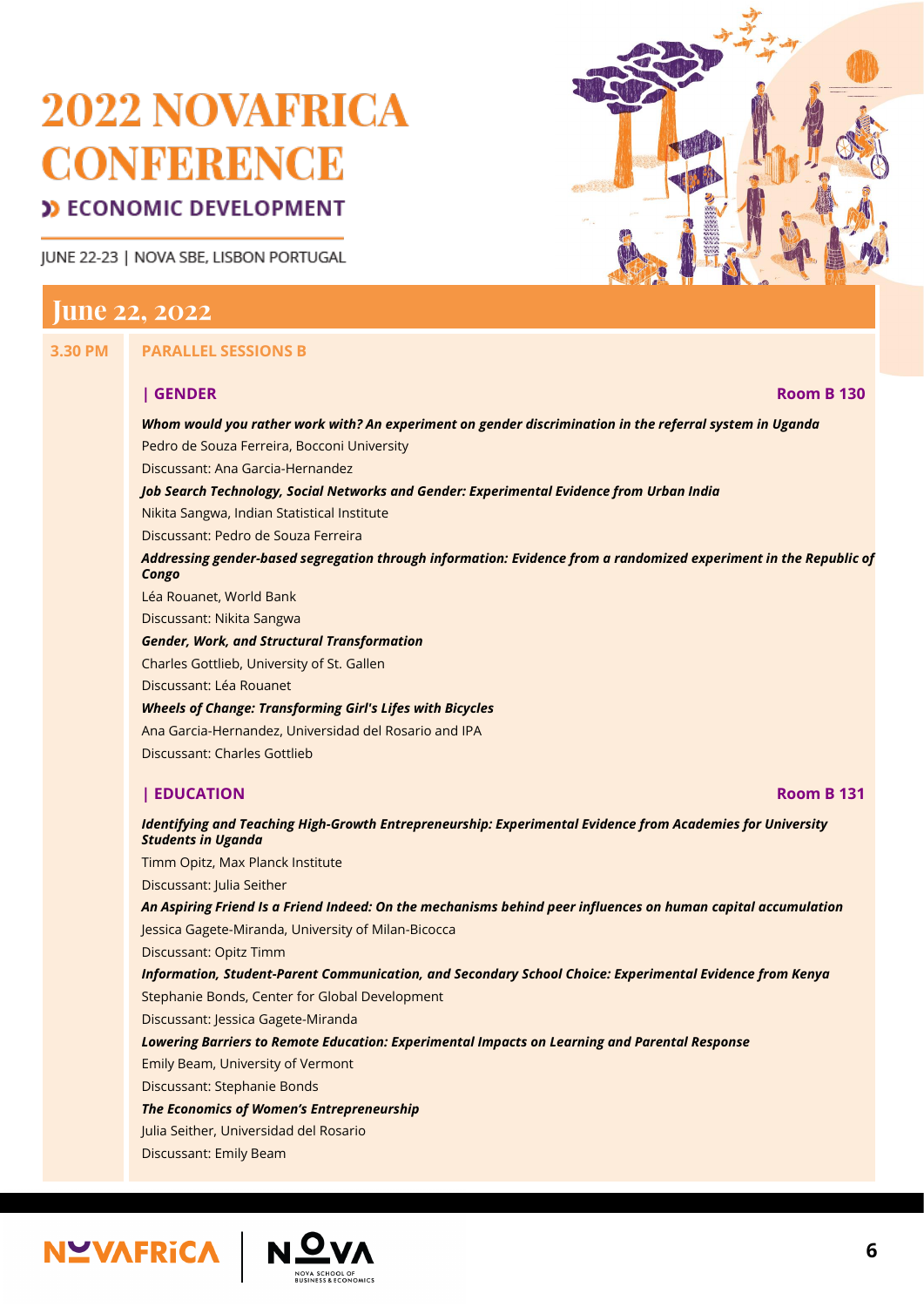# 2022 NOVAFRICA **CONFERENCE**

#### **D** ECONOMIC DEVELOPMENT

JUNE 22-23 | NOVA SBE, LISBON PORTUGAL

#### **June 22, 2022**

**3.30 PM PARALLEL SESSIONS B**

#### **| GENDER Room B 130**

#### *Whom would you rather work with? An experiment on gender discrimination in the referral system in Uganda* Pedro de Souza Ferreira, Bocconi University Discussant: Ana Garcia-Hernandez *Job Search Technology, Social Networks and Gender: Experimental Evidence from Urban India* Nikita Sangwa, Indian Statistical Institute Discussant: Pedro de Souza Ferreira *Addressing gender-based segregation through information: Evidence from a randomized experiment in the Republic of Congo* Léa Rouanet, World Bank Discussant: Nikita Sangwa *Gender, Work, and Structural Transformation* Charles Gottlieb, University of St. Gallen

Discussant: Léa Rouanet

*Wheels of Change: Transforming Girl's Lifes with Bicycles* Ana Garcia-Hernandez, Universidad del Rosario and IPA Discussant: Charles Gottlieb

#### **| EDUCATION Room B 131**

#### *Identifying and Teaching High-Growth Entrepreneurship: Experimental Evidence from Academies for University Students in Uganda*

Timm Opitz, Max Planck Institute

Discussant: Julia Seither

*An Aspiring Friend Is a Friend Indeed: On the mechanisms behind peer influences on human capital accumulation*

Jessica Gagete-Miranda, University of Milan-Bicocca

Discussant: Opitz Timm

*Information, Student-Parent Communication, and Secondary School Choice: Experimental Evidence from Kenya*

Stephanie Bonds, Center for Global Development

Discussant: Jessica Gagete-Miranda

*Lowering Barriers to Remote Education: Experimental Impacts on Learning and Parental Response*

Emily Beam, University of Vermont

Discussant: Stephanie Bonds

*The Economics of Women's Entrepreneurship*

Julia Seither, Universidad del Rosario

Discussant: Emily Beam

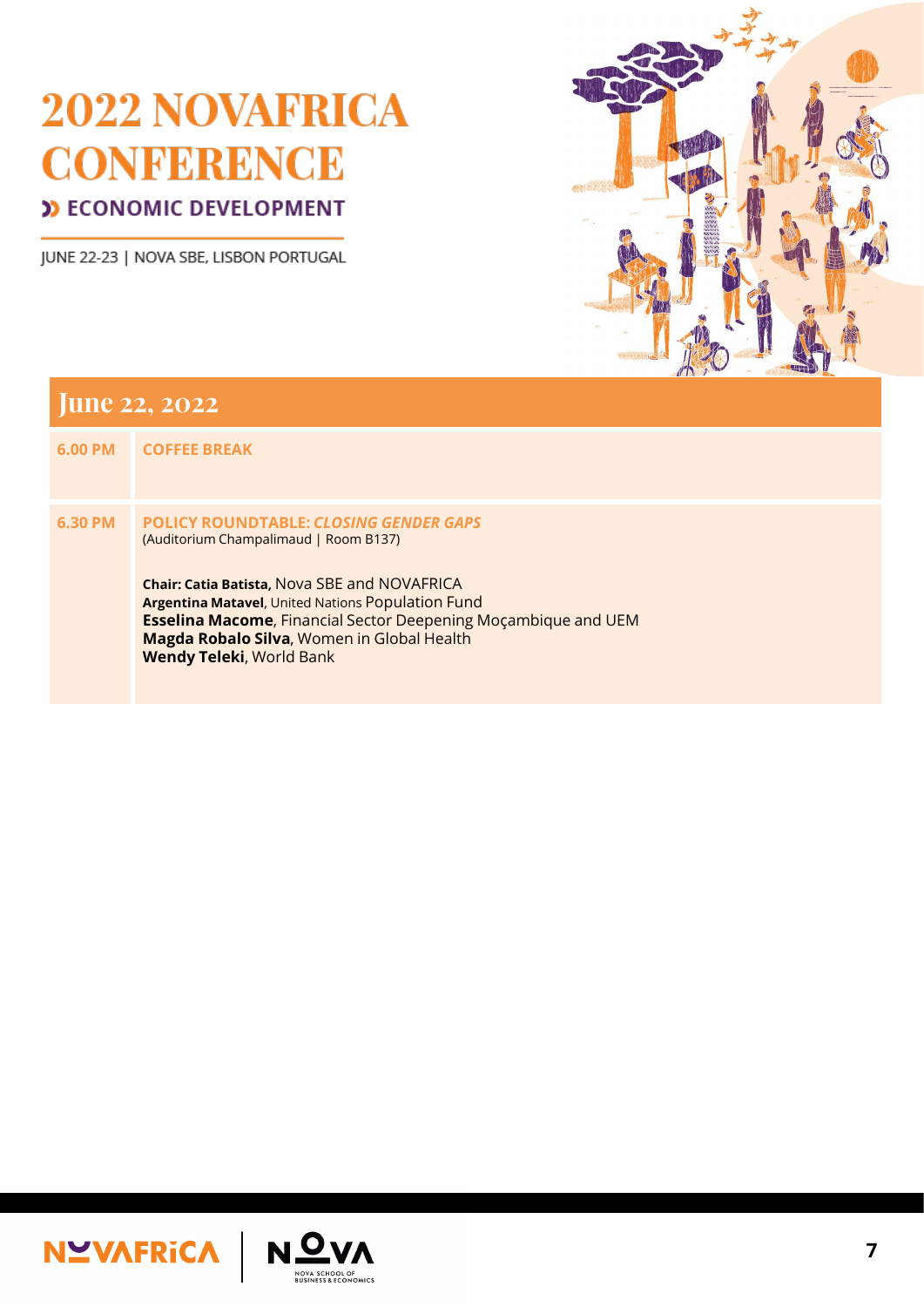JUNE 22-23 | NOVA SBE, LISBON PORTUGAL



| <b>June 22, 2022</b> |                                                                                                                                                                                                                                                                                                                                                                      |  |
|----------------------|----------------------------------------------------------------------------------------------------------------------------------------------------------------------------------------------------------------------------------------------------------------------------------------------------------------------------------------------------------------------|--|
| <b>6.00 PM</b>       | <b>COFFEE BREAK</b>                                                                                                                                                                                                                                                                                                                                                  |  |
| 6.30 PM              | <b>POLICY ROUNDTABLE: CLOSING GENDER GAPS</b><br>(Auditorium Champalimaud   Room B137)<br><b>Chair: Catia Batista, Nova SBE and NOVAFRICA</b><br><b>Argentina Matavel, United Nations Population Fund</b><br><b>Esselina Macome</b> , Financial Sector Deepening Moçambique and UEM<br>Magda Robalo Silva, Women in Global Health<br><b>Wendy Teleki, World Bank</b> |  |





**NOVA SCHOOL OF<br>BUSINESS & ECONOMICS**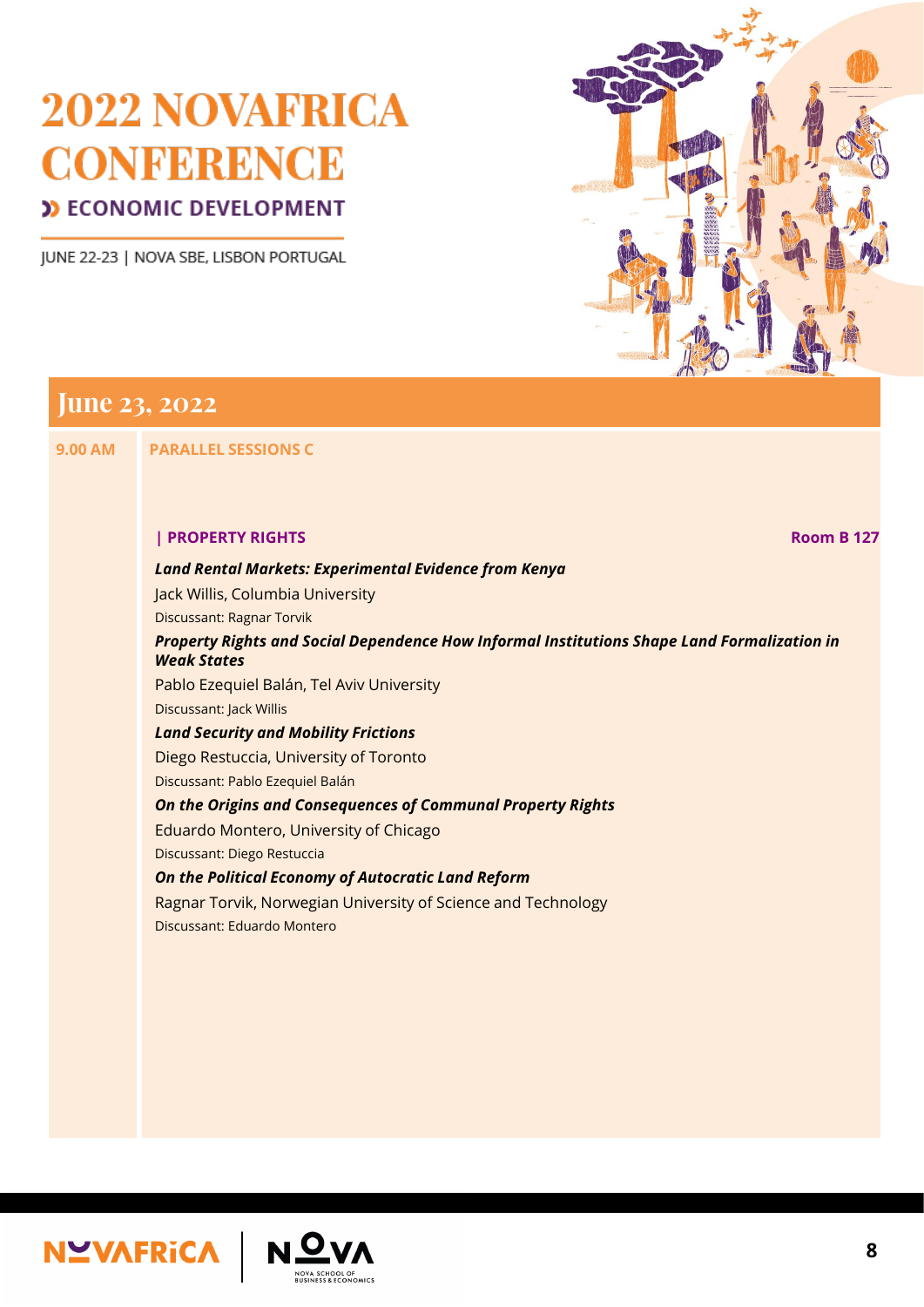JUNE 22-23 | NOVA SBE, LISBON PORTUGAL



## **June 23, 2022**

**9.00 AM PARALLEL SESSIONS C**

#### **| PROPERTY RIGHTS Room B 127**

#### *Land Rental Markets: Experimental Evidence from Kenya*

Jack Willis, Columbia University

Discussant: Ragnar Torvik

#### *Property Rights and Social Dependence How Informal Institutions Shape Land Formalization in Weak States*

Pablo Ezequiel Balán, Tel Aviv University

Discussant: Jack Willis

#### *Land Security and Mobility Frictions*

Diego Restuccia, University of Toronto

Discussant: Pablo Ezequiel Balán

#### *On the Origins and Consequences of Communal Property Rights*

Eduardo Montero, University of Chicago

Discussant: Diego Restuccia

#### *On the Political Economy of Autocratic Land Reform*

Ragnar Torvik, Norwegian University of Science and Technology

Discussant: Eduardo Montero





NOVA SCHOOL OF<br>BUSINESS & ECONOMICS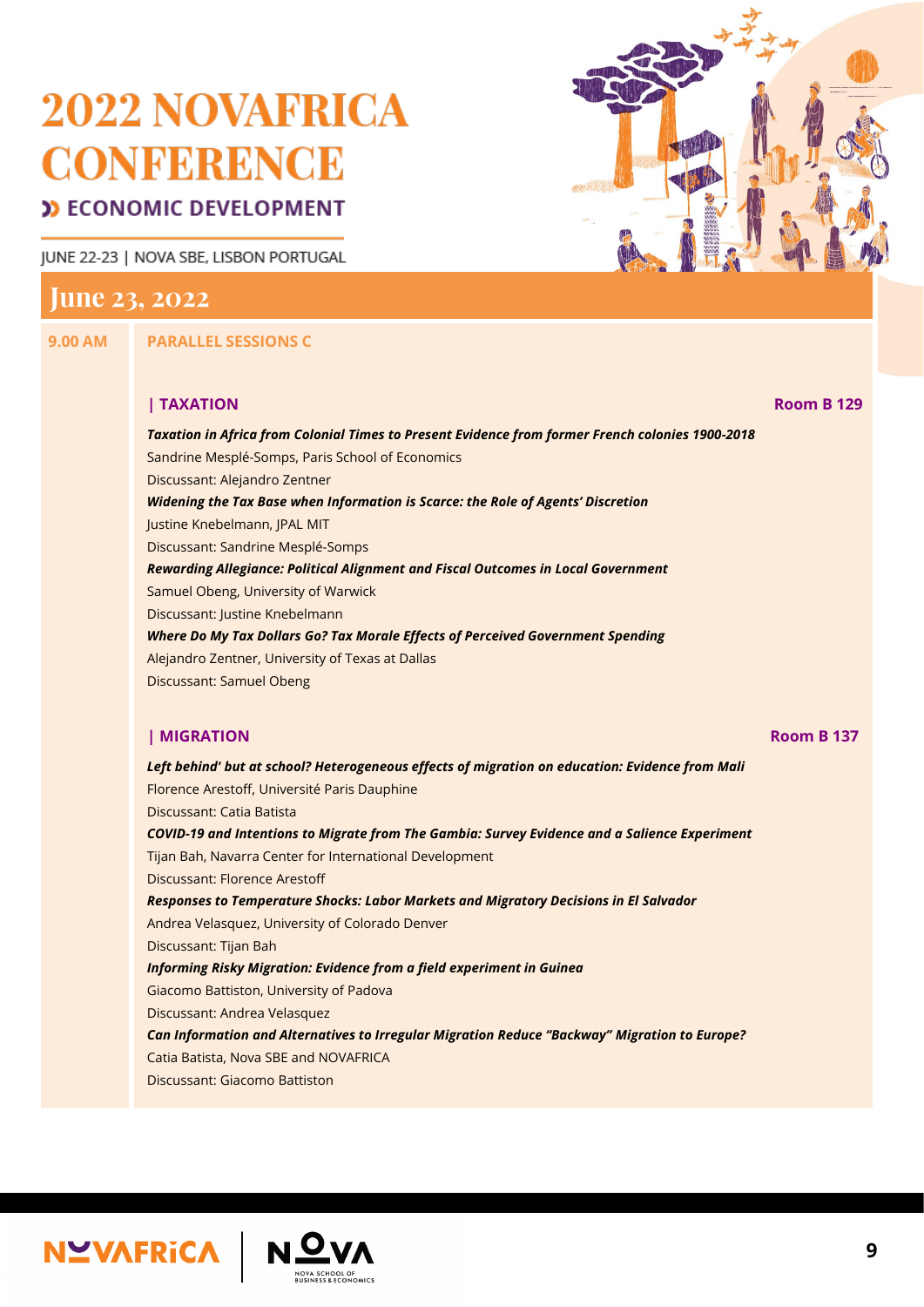# 2022 NOVAFRICA **CONFERENCE**

## **D** ECONOMIC DEVELOPMENT

JUNE 22-23 | NOVA SBE, LISBON PORTUGAL

## **June 23, 2022**

**9.00 AM PARALLEL SESSIONS C**

#### **| TAXATION Room B 129**

*Taxation in Africa from Colonial Times to Present Evidence from former French colonies 1900-2018*

Sandrine Mesplé-Somps, Paris School of Economics

Discussant: Alejandro Zentner

*Widening the Tax Base when Information is Scarce: the Role of Agents' Discretion* Justine Knebelmann, JPAL MIT Discussant: Sandrine Mesplé-Somps *Rewarding Allegiance: Political Alignment and Fiscal Outcomes in Local Government* Samuel Obeng, University of Warwick

Discussant: Justine Knebelmann

*Where Do My Tax Dollars Go? Tax Morale Effects of Perceived Government Spending* Alejandro Zentner, University of Texas at Dallas Discussant: Samuel Obeng

#### **| MIGRATION Room B 137**

*Left behind' but at school? Heterogeneous effects of migration on education: Evidence from Mali* Florence Arestoff, Université Paris Dauphine Discussant: Catia Batista *COVID-19 and Intentions to Migrate from The Gambia: Survey Evidence and a Salience Experiment* Tijan Bah, Navarra Center for International Development Discussant: Florence Arestoff *Responses to Temperature Shocks: Labor Markets and Migratory Decisions in El Salvador* Andrea Velasquez, University of Colorado Denver Discussant: Tijan Bah

*Informing Risky Migration: Evidence from a field experiment in Guinea*



Giacomo Battiston, University of Padova

Discussant: Andrea Velasquez

*Can Information and Alternatives to Irregular Migration Reduce "Backway" Migration to Europe?* Catia Batista, Nova SBE and NOVAFRICA

Discussant: Giacomo Battiston

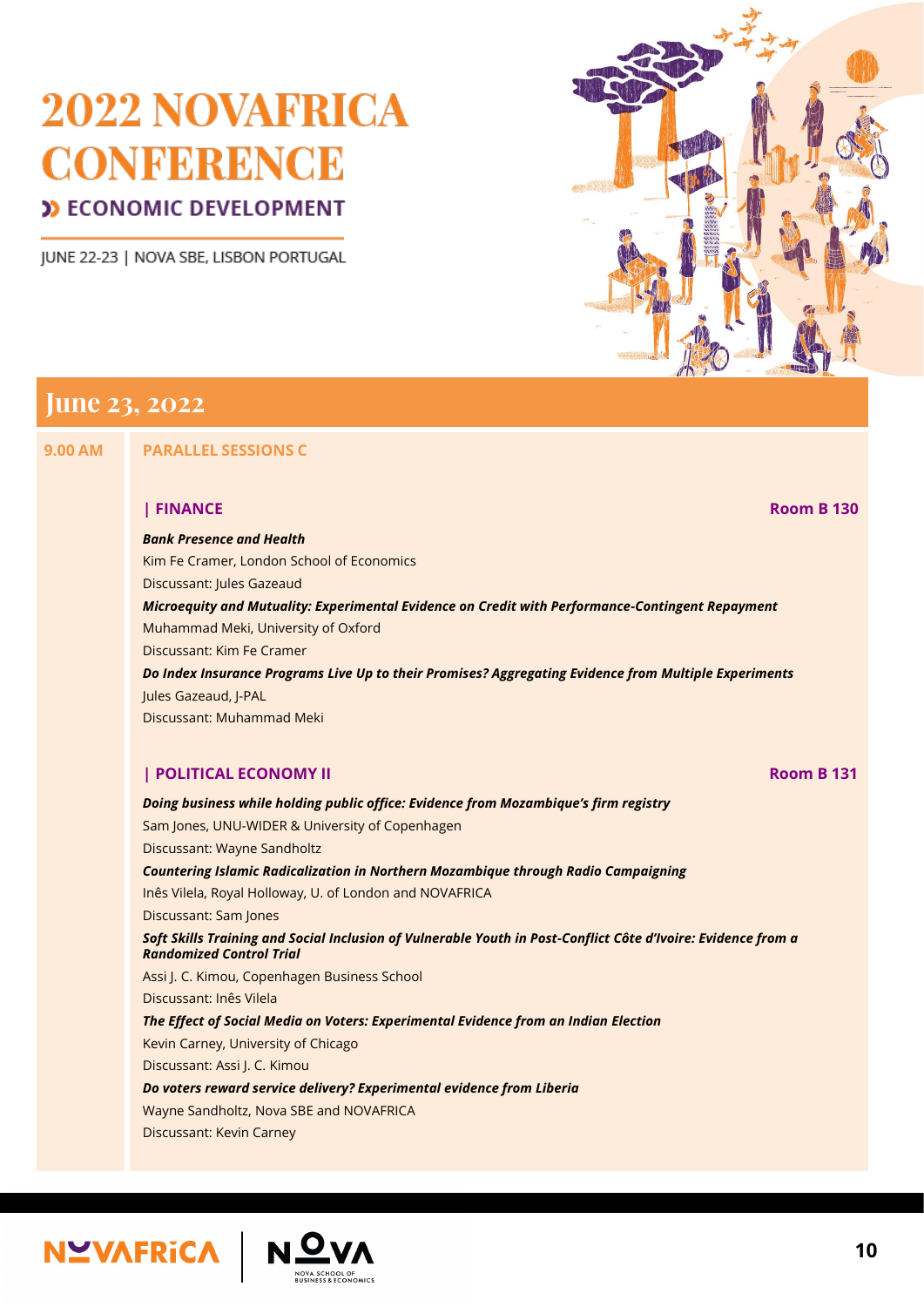JUNE 22-23 | NOVA SBE, LISBON PORTUGAL



## **June 23, 2022**

**9.00 AM PARALLEL SESSIONS C**

**| FINANCE Room B 130**

## *Bank Presence and Health*

Kim Fe Cramer, London School of Economics

Discussant: Jules Gazeaud

*Microequity and Mutuality: Experimental Evidence on Credit with Performance-Contingent Repayment*

Muhammad Meki, University of Oxford

Discussant: Kim Fe Cramer

*Do Index Insurance Programs Live Up to their Promises? Aggregating Evidence from Multiple Experiments*

Jules Gazeaud, J-PAL

Discussant: Muhammad Meki

#### **| POLITICAL ECONOMY II Room B 131**

*Doing business while holding public office: Evidence from Mozambique's firm registry*

Sam Jones, UNU-WIDER & University of Copenhagen

Discussant: Wayne Sandholtz

*Countering Islamic Radicalization in Northern Mozambique through Radio Campaigning*

Inês Vilela, Royal Holloway, U. of London and NOVAFRICA

Discussant: Sam Jones

#### *Soft Skills Training and Social Inclusion of Vulnerable Youth in Post-Conflict Côte d'Ivoire: Evidence from a Randomized Control Trial*

Assi J. C. Kimou, Copenhagen Business School

Discussant: Inês Vilela

#### *The Effect of Social Media on Voters: Experimental Evidence from an Indian Election*

Kevin Carney, University of Chicago

Discussant: Assi J. C. Kimou

*Do voters reward service delivery? Experimental evidence from Liberia*

Wayne Sandholtz, Nova SBE and NOVAFRICA

Discussant: Kevin Carney

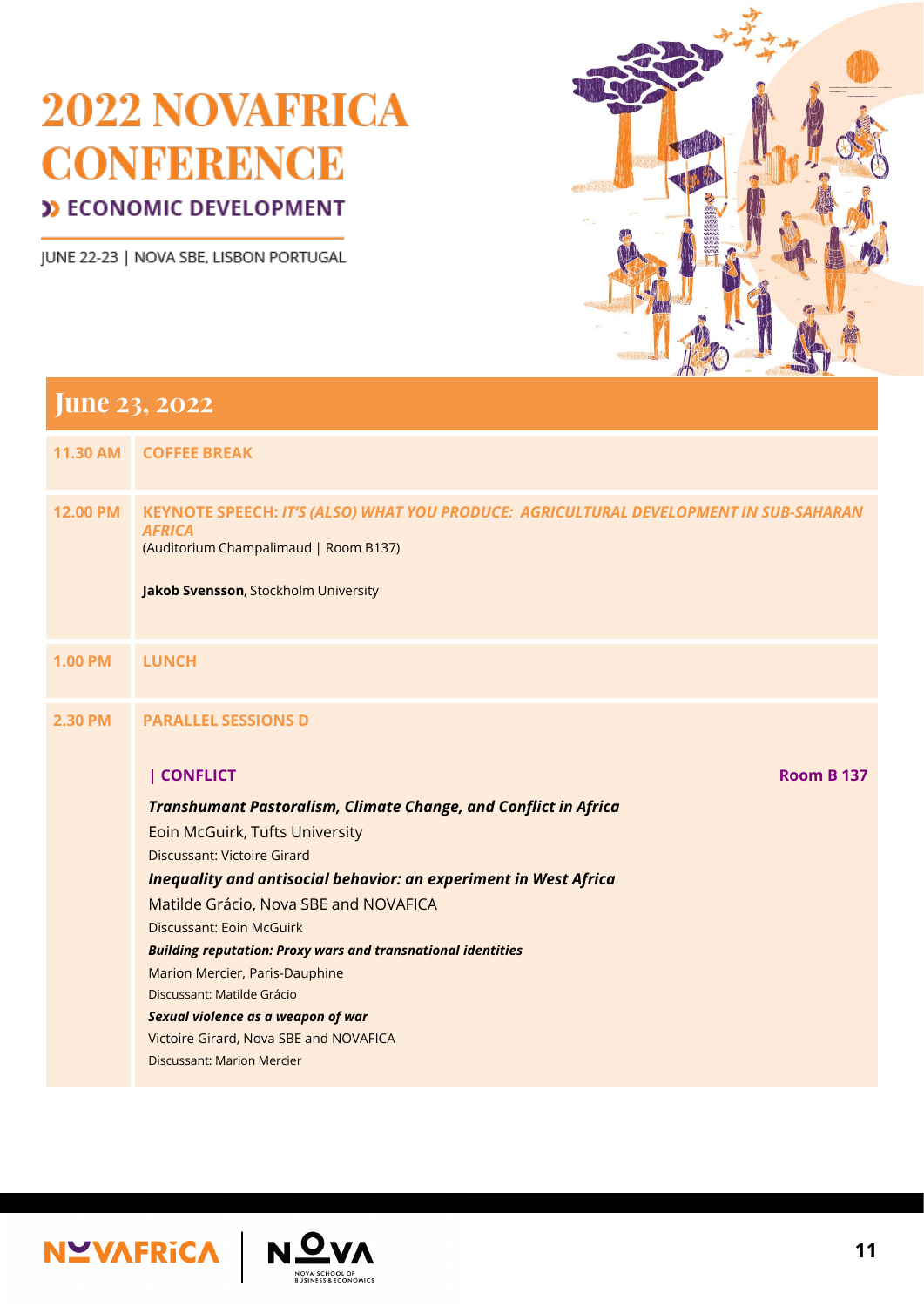JUNE 22-23 | NOVA SBE, LISBON PORTUGAL



| <b>11.30 AM</b> | <b>COFFEE BREAK</b>                                                                                                                                                                                   |
|-----------------|-------------------------------------------------------------------------------------------------------------------------------------------------------------------------------------------------------|
| <b>12.00 PM</b> | <b>KEYNOTE SPEECH: IT'S (ALSO) WHAT YOU PRODUCE: AGRICULTURAL DEVELOPMENT IN SUB-SAHARAN</b><br><b>AFRICA</b><br>(Auditorium Champalimaud   Room B137)<br><b>Jakob Svensson, Stockholm University</b> |
| <b>1.00 PM</b>  | <b>LUNCH</b>                                                                                                                                                                                          |
| <b>2.30 PM</b>  | <b>PARALLEL SESSIONS D</b>                                                                                                                                                                            |
|                 | CONFLICT<br><b>Room B 137</b>                                                                                                                                                                         |
|                 | <b>Transhumant Pastoralism, Climate Change, and Conflict in Africa</b>                                                                                                                                |
|                 | <b>Eoin McGuirk, Tufts University</b>                                                                                                                                                                 |
|                 | <b>Discussant: Victoire Girard</b>                                                                                                                                                                    |
|                 | <b>Inequality and antisocial behavior: an experiment in West Africa</b>                                                                                                                               |
|                 | Matilde Grácio, Nova SBE and NOVAFICA                                                                                                                                                                 |
|                 | <b>Discussant: Eoin McGuirk</b>                                                                                                                                                                       |
|                 | <b>Building reputation: Proxy wars and transnational identities</b>                                                                                                                                   |
|                 | Marion Mercier, Paris-Dauphine                                                                                                                                                                        |

Discussant: Matilde Grácio

*Sexual violence as a weapon of war* Victoire Girard, Nova SBE and NOVAFICA Discussant: Marion Mercier



NOVA SCHOOL OF<br>BUSINESS & ECONOMICS

**11**

## **June 23, 2022**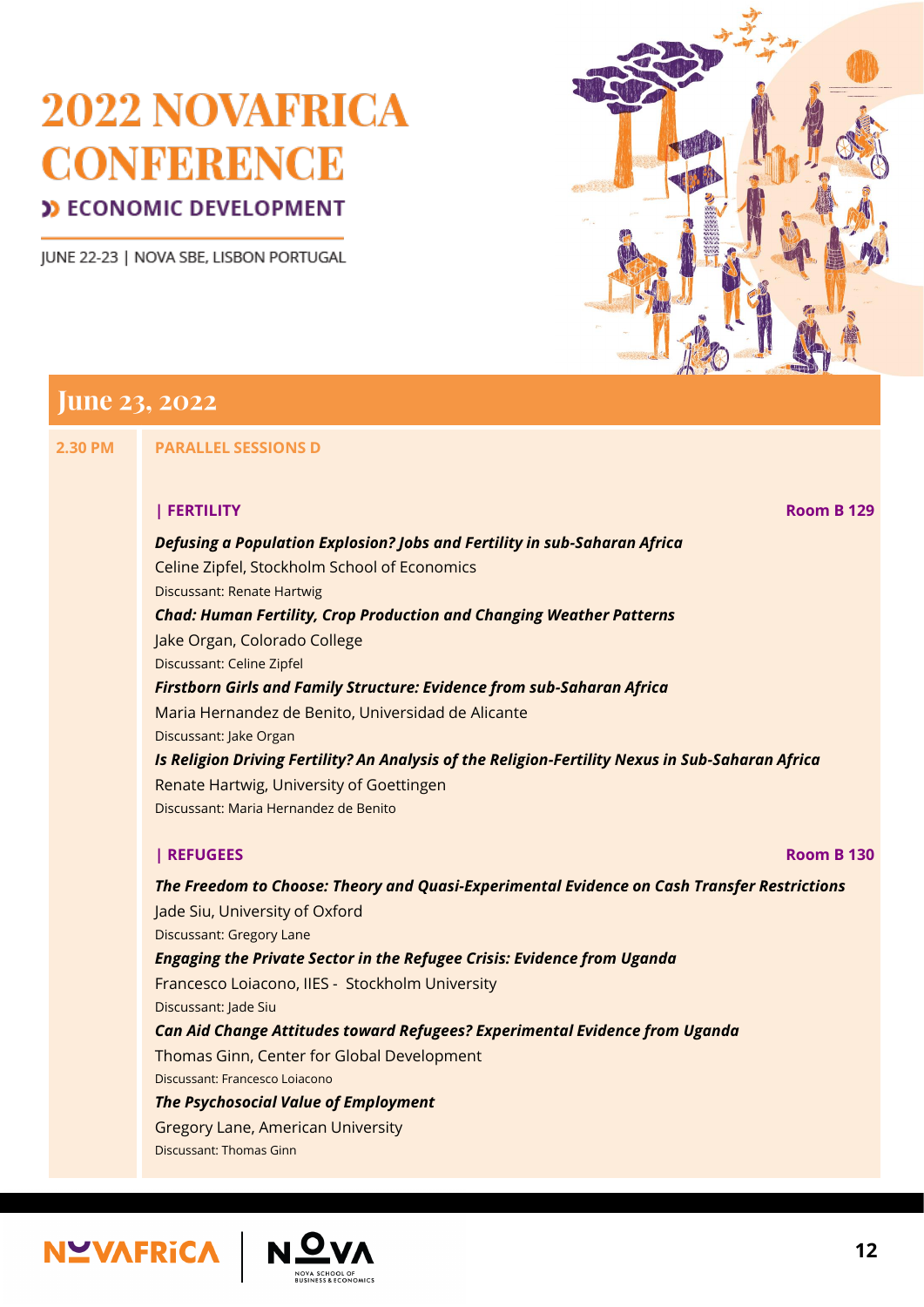JUNE 22-23 | NOVA SBE, LISBON PORTUGAL



#### **June 23, 2022**

**2.30 PM PARALLEL SESSIONS D**

#### **| FERTILITY Room B 129**

*Defusing a Population Explosion? Jobs and Fertility in sub-Saharan Africa* Celine Zipfel, Stockholm School of Economics

Discussant: Renate Hartwig

*Chad: Human Fertility, Crop Production and Changing Weather Patterns*

Jake Organ, Colorado College Discussant: Celine Zipfel

#### *Firstborn Girls and Family Structure: Evidence from sub-Saharan Africa*

Maria Hernandez de Benito, Universidad de Alicante

Discussant: Jake Organ

#### *Is Religion Driving Fertility? An Analysis of the Religion-Fertility Nexus in Sub-Saharan Africa*

Renate Hartwig, University of Goettingen Discussant: Maria Hernandez de Benito

#### **| REFUGEES Room B 130**

*The Freedom to Choose: Theory and Quasi-Experimental Evidence on Cash Transfer Restrictions* Jade Siu, University of Oxford Discussant: Gregory Lane *Engaging the Private Sector in the Refugee Crisis: Evidence from Uganda*

Francesco Loiacono, IIES - Stockholm University

Discussant: Jade Siu

*Can Aid Change Attitudes toward Refugees? Experimental Evidence from Uganda* Thomas Ginn, Center for Global Development Discussant: Francesco Loiacono *The Psychosocial Value of Employment*

Gregory Lane, American University Discussant: Thomas Ginn

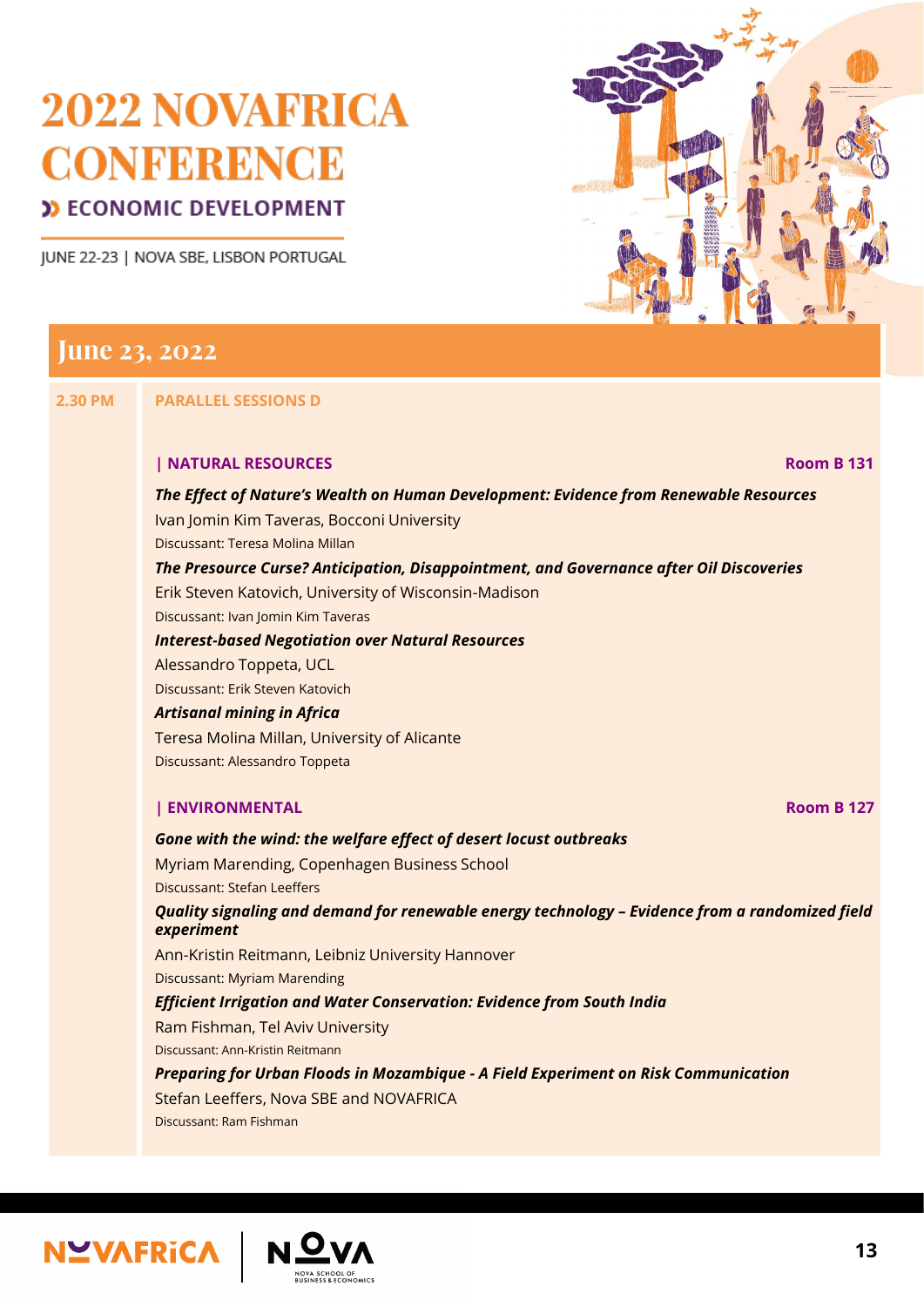JUNE 22-23 | NOVA SBE, LISBON PORTUGAL



#### **June 23, 2022**

**2.30 PM PARALLEL SESSIONS D**

#### **| NATURAL RESOURCES Room B 131**

*The Effect of Nature's Wealth on Human Development: Evidence from Renewable Resources*

Ivan Jomin Kim Taveras, Bocconi University

Discussant: Teresa Molina Millan

*The Presource Curse? Anticipation, Disappointment, and Governance after Oil Discoveries*

Erik Steven Katovich, University of Wisconsin-Madison

Discussant: Ivan Jomin Kim Taveras

*Interest-based Negotiation over Natural Resources*

Alessandro Toppeta, UCL

Discussant: Erik Steven Katovich

#### *Artisanal mining in Africa*

Teresa Molina Millan, University of Alicante

Discussant: Alessandro Toppeta

#### **| ENVIRONMENTAL Room B 127**

*Gone with the wind: the welfare effect of desert locust outbreaks*

Myriam Marending, Copenhagen Business School

Discussant: Stefan Leeffers

#### *Quality signaling and demand for renewable energy technology – Evidence from a randomized field experiment*

Ann-Kristin Reitmann, Leibniz University Hannover

Discussant: Myriam Marending

*Efficient Irrigation and Water Conservation: Evidence from South India*

Ram Fishman, Tel Aviv University

Discussant: Ann-Kristin Reitmann

*Preparing for Urban Floods in Mozambique - A Field Experiment on Risk Communication*

Stefan Leeffers, Nova SBE and NOVAFRICA

Discussant: Ram Fishman